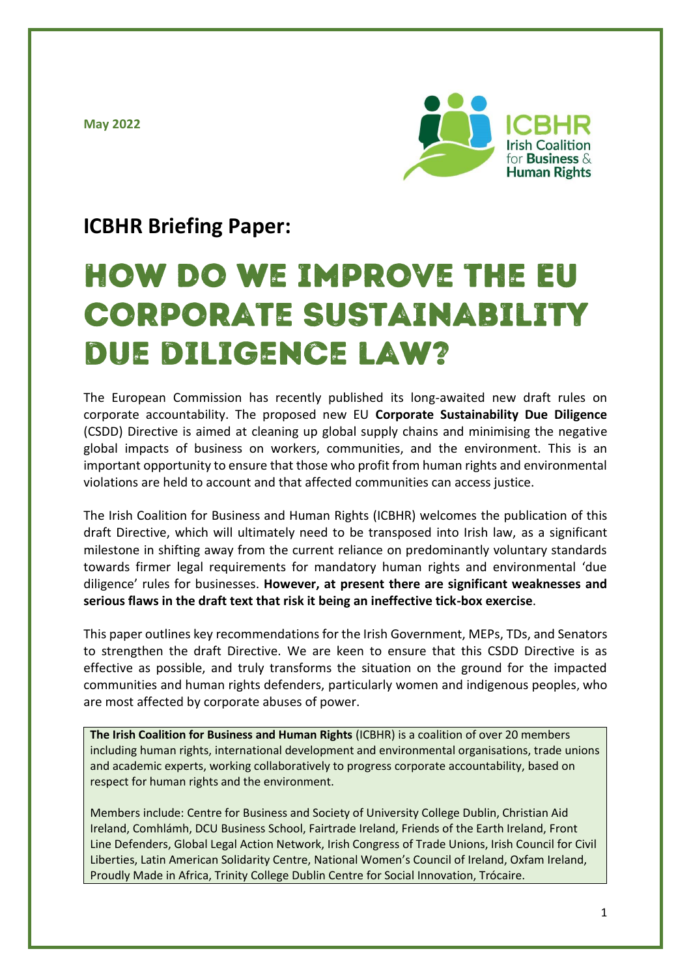**May 2022**



# **ICBHR Briefing Paper:**

# **HOW DO WE IMPROVE THE EU CORPORATE SUSTAINABILITY** DUE DILIGENCE LAW?

The European Commission has recently published its long-awaited new draft rules on corporate accountability. The proposed new EU **Corporate Sustainability Due Diligence** (CSDD) Directive is aimed at cleaning up global supply chains and minimising the negative global impacts of business on workers, communities, and the environment. This is an important opportunity to ensure that those who profit from human rights and environmental violations are held to account and that affected communities can access justice.

The Irish Coalition for Business and Human Rights (ICBHR) welcomes the publication of this draft Directive, which will ultimately need to be transposed into Irish law, as a significant milestone in shifting away from the current reliance on predominantly voluntary standards towards firmer legal requirements for mandatory human rights and environmental 'due diligence' rules for businesses. **However, at present there are significant weaknesses and serious flaws in the draft text that risk it being an ineffective tick-box exercise**.

This paper outlines key recommendations for the Irish Government, MEPs, TDs, and Senators to strengthen the draft Directive. We are keen to ensure that this CSDD Directive is as effective as possible, and truly transforms the situation on the ground for the impacted communities and human rights defenders, particularly women and indigenous peoples, who are most affected by corporate abuses of power.

**The Irish Coalition for Business and Human Rights** (ICBHR) is a coalition of over 20 members including human rights, international development and environmental organisations, trade unions and academic experts, working collaboratively to progress corporate accountability, based on respect for human rights and the environment.

Members include: Centre for Business and Society of University College Dublin, Christian Aid Ireland, Comhlámh, DCU Business School, Fairtrade Ireland, Friends of the Earth Ireland, Front Line Defenders, Global Legal Action Network, Irish Congress of Trade Unions, Irish Council for Civil Liberties, Latin American Solidarity Centre, National Women's Council of Ireland, Oxfam Ireland, Proudly Made in Africa, Trinity College Dublin Centre for Social Innovation, Trócaire.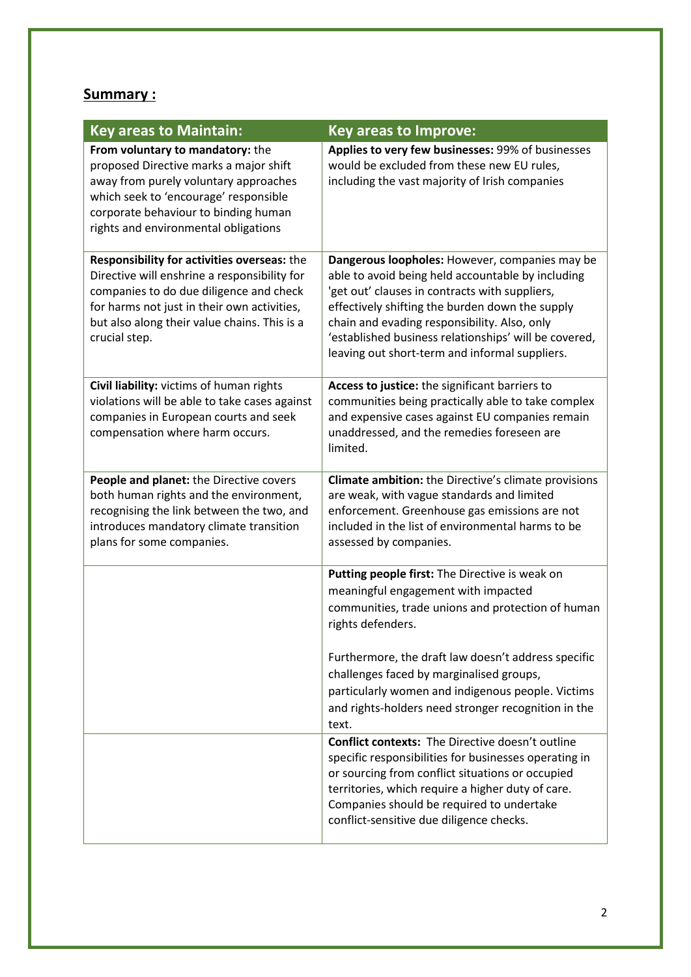## **Summary :**

| <b>Key areas to Maintain:</b>                                                                                                                                                                                                                          | <b>Key areas to Improve:</b>                                                                                                                                                                                                                                                                                                                                        |
|--------------------------------------------------------------------------------------------------------------------------------------------------------------------------------------------------------------------------------------------------------|---------------------------------------------------------------------------------------------------------------------------------------------------------------------------------------------------------------------------------------------------------------------------------------------------------------------------------------------------------------------|
| From voluntary to mandatory: the<br>proposed Directive marks a major shift<br>away from purely voluntary approaches<br>which seek to 'encourage' responsible<br>corporate behaviour to binding human<br>rights and environmental obligations           | Applies to very few businesses: 99% of businesses<br>would be excluded from these new EU rules,<br>including the vast majority of Irish companies                                                                                                                                                                                                                   |
| Responsibility for activities overseas: the<br>Directive will enshrine a responsibility for<br>companies to do due diligence and check<br>for harms not just in their own activities,<br>but also along their value chains. This is a<br>crucial step. | Dangerous loopholes: However, companies may be<br>able to avoid being held accountable by including<br>'get out' clauses in contracts with suppliers,<br>effectively shifting the burden down the supply<br>chain and evading responsibility. Also, only<br>'established business relationships' will be covered,<br>leaving out short-term and informal suppliers. |
| Civil liability: victims of human rights<br>violations will be able to take cases against<br>companies in European courts and seek<br>compensation where harm occurs.                                                                                  | Access to justice: the significant barriers to<br>communities being practically able to take complex<br>and expensive cases against EU companies remain<br>unaddressed, and the remedies foreseen are<br>limited.                                                                                                                                                   |
| People and planet: the Directive covers<br>both human rights and the environment,<br>recognising the link between the two, and<br>introduces mandatory climate transition<br>plans for some companies.                                                 | <b>Climate ambition:</b> the Directive's climate provisions<br>are weak, with vague standards and limited<br>enforcement. Greenhouse gas emissions are not<br>included in the list of environmental harms to be<br>assessed by companies.                                                                                                                           |
|                                                                                                                                                                                                                                                        | Putting people first: The Directive is weak on<br>meaningful engagement with impacted<br>communities, trade unions and protection of human<br>rights defenders.                                                                                                                                                                                                     |
|                                                                                                                                                                                                                                                        | Furthermore, the draft law doesn't address specific<br>challenges faced by marginalised groups,<br>particularly women and indigenous people. Victims<br>and rights-holders need stronger recognition in the<br>text.                                                                                                                                                |
|                                                                                                                                                                                                                                                        | <b>Conflict contexts:</b> The Directive doesn't outline<br>specific responsibilities for businesses operating in<br>or sourcing from conflict situations or occupied<br>territories, which require a higher duty of care.<br>Companies should be required to undertake<br>conflict-sensitive due diligence checks.                                                  |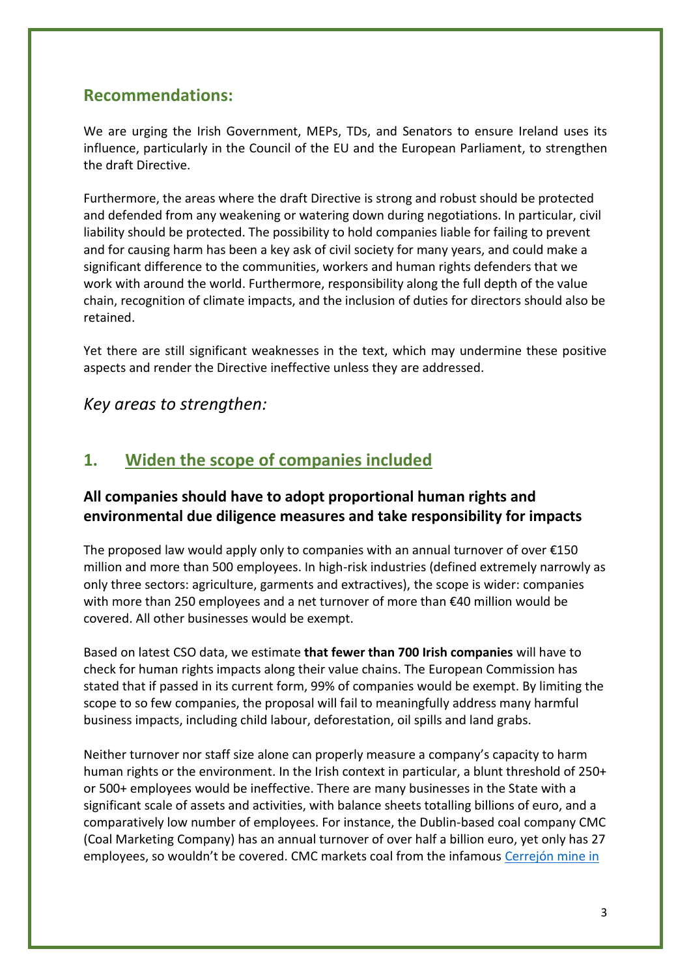## **Recommendations:**

We are urging the Irish Government, MEPs, TDs, and Senators to ensure Ireland uses its influence, particularly in the Council of the EU and the European Parliament, to strengthen the draft Directive.

Furthermore, the areas where the draft Directive is strong and robust should be protected and defended from any weakening or watering down during negotiations. In particular, civil liability should be protected. The possibility to hold companies liable for failing to prevent and for causing harm has been a key ask of civil society for many years, and could make a significant difference to the communities, workers and human rights defenders that we work with around the world. Furthermore, responsibility along the full depth of the value chain, recognition of climate impacts, and the inclusion of duties for directors should also be retained.

Yet there are still significant weaknesses in the text, which may undermine these positive aspects and render the Directive ineffective unless they are addressed.

*Key areas to strengthen:*

## **1. Widen the scope of companies included**

## **All companies should have to adopt proportional human rights and environmental due diligence measures and take responsibility for impacts**

The proposed law would apply only to companies with an annual turnover of over  $£150$ million and more than 500 employees. In high-risk industries (defined extremely narrowly as only three sectors: agriculture, garments and extractives), the scope is wider: companies with more than 250 employees and a net turnover of more than €40 million would be covered. All other businesses would be exempt.

Based on latest CSO data, we estimate **that fewer than 700 Irish companies** will have to check for human rights impacts along their value chains. The European Commission has stated that if passed in its current form, 99% of companies would be exempt. By limiting the scope to so few companies, the proposal will fail to meaningfully address many harmful business impacts, including child labour, deforestation, oil spills and land grabs.

Neither turnover nor staff size alone can properly measure a company's capacity to harm human rights or the environment. In the Irish context in particular, a blunt threshold of 250+ or 500+ employees would be ineffective. There are many businesses in the State with a significant scale of assets and activities, with balance sheets totalling billions of euro, and a comparatively low number of employees. For instance, the Dublin-based coal company CMC (Coal Marketing Company) has an annual turnover of over half a billion euro, yet only has 27 employees, so wouldn't be covered. CMC markets coal from the infamous [Cerrejón mine in](https://www.christianaid.ie/resources/undermining-human-rights-ireland-esb-and-cerrejon-coal)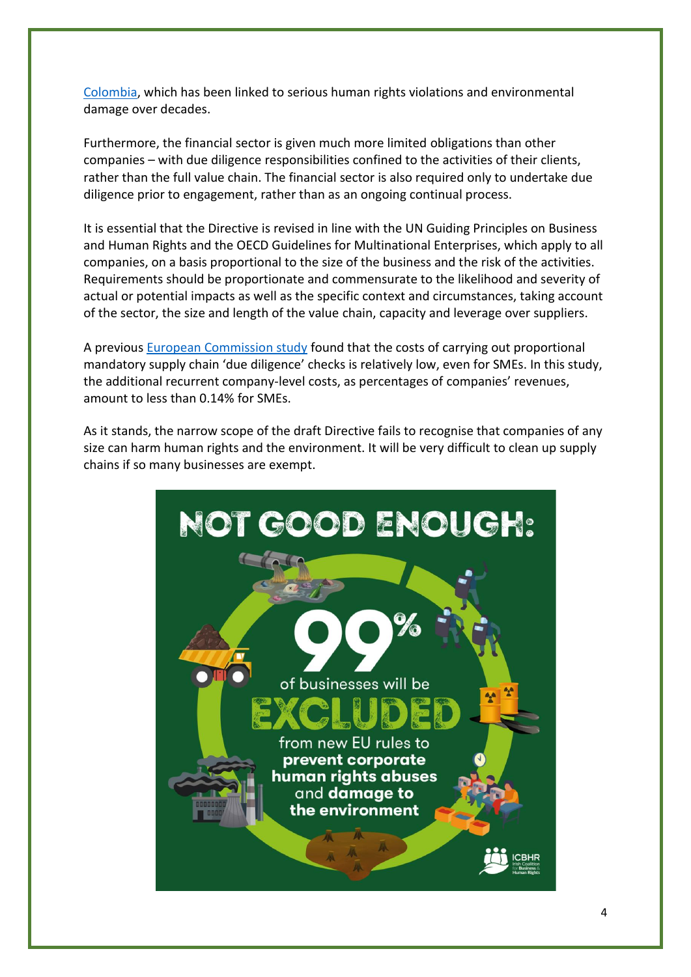[Colombia,](https://www.christianaid.ie/resources/undermining-human-rights-ireland-esb-and-cerrejon-coal) which has been linked to serious human rights violations and environmental damage over decades.

Furthermore, the financial sector is given much more limited obligations than other companies – with due diligence responsibilities confined to the activities of their clients, rather than the full value chain. The financial sector is also required only to undertake due diligence prior to engagement, rather than as an ongoing continual process.

It is essential that the Directive is revised in line with the UN Guiding Principles on Business and Human Rights and the OECD Guidelines for Multinational Enterprises, which apply to all companies, on a basis proportional to the size of the business and the risk of the activities. Requirements should be proportionate and commensurate to the likelihood and severity of actual or potential impacts as well as the specific context and circumstances, taking account of the sector, the size and length of the value chain, capacity and leverage over suppliers.

A previous [European Commission study](https://op.europa.eu/en/publication-detail/-/%20publication/8ba0a8fd-4c83-11ea-b8b7-01aa75ed71a1/language-%20en) found that the costs of carrying out proportional mandatory supply chain 'due diligence' checks is relatively low, even for SMEs. In this study, the additional recurrent company-level costs, as percentages of companies' revenues, amount to less than 0.14% for SMEs.

As it stands, the narrow scope of the draft Directive fails to recognise that companies of any size can harm human rights and the environment. It will be very difficult to clean up supply chains if so many businesses are exempt.

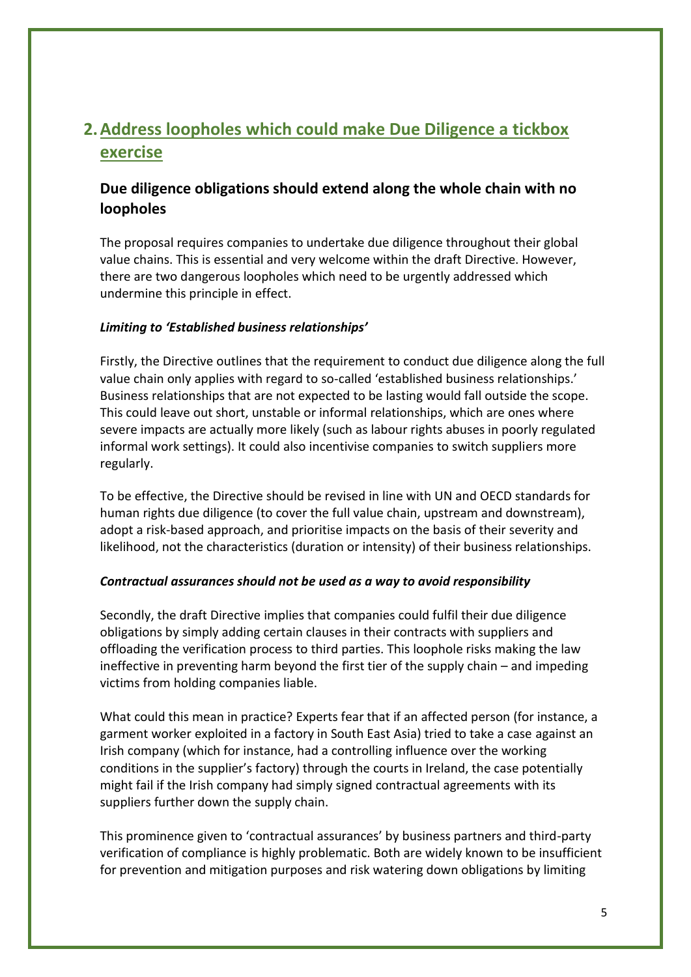# **2.Address loopholes which could make Due Diligence a tickbox exercise**

## **Due diligence obligations should extend along the whole chain with no loopholes**

The proposal requires companies to undertake due diligence throughout their global value chains. This is essential and very welcome within the draft Directive. However, there are two dangerous loopholes which need to be urgently addressed which undermine this principle in effect.

#### *Limiting to 'Established business relationships'*

Firstly, the Directive outlines that the requirement to conduct due diligence along the full value chain only applies with regard to so-called 'established business relationships.' Business relationships that are not expected to be lasting would fall outside the scope. This could leave out short, unstable or informal relationships, which are ones where severe impacts are actually more likely (such as labour rights abuses in poorly regulated informal work settings). It could also incentivise companies to switch suppliers more regularly.

To be effective, the Directive should be revised in line with UN and OECD standards for human rights due diligence (to cover the full value chain, upstream and downstream), adopt a risk-based approach, and prioritise impacts on the basis of their severity and likelihood, not the characteristics (duration or intensity) of their business relationships.

#### *Contractual assurances should not be used as a way to avoid responsibility*

Secondly, the draft Directive implies that companies could fulfil their due diligence obligations by simply adding certain clauses in their contracts with suppliers and offloading the verification process to third parties. This loophole risks making the law ineffective in preventing harm beyond the first tier of the supply chain – and impeding victims from holding companies liable.

What could this mean in practice? Experts fear that if an affected person (for instance, a garment worker exploited in a factory in South East Asia) tried to take a case against an Irish company (which for instance, had a controlling influence over the working conditions in the supplier's factory) through the courts in Ireland, the case potentially might fail if the Irish company had simply signed contractual agreements with its suppliers further down the supply chain.

This prominence given to 'contractual assurances' by business partners and third-party verification of compliance is highly problematic. Both are widely known to be insufficient for prevention and mitigation purposes and risk watering down obligations by limiting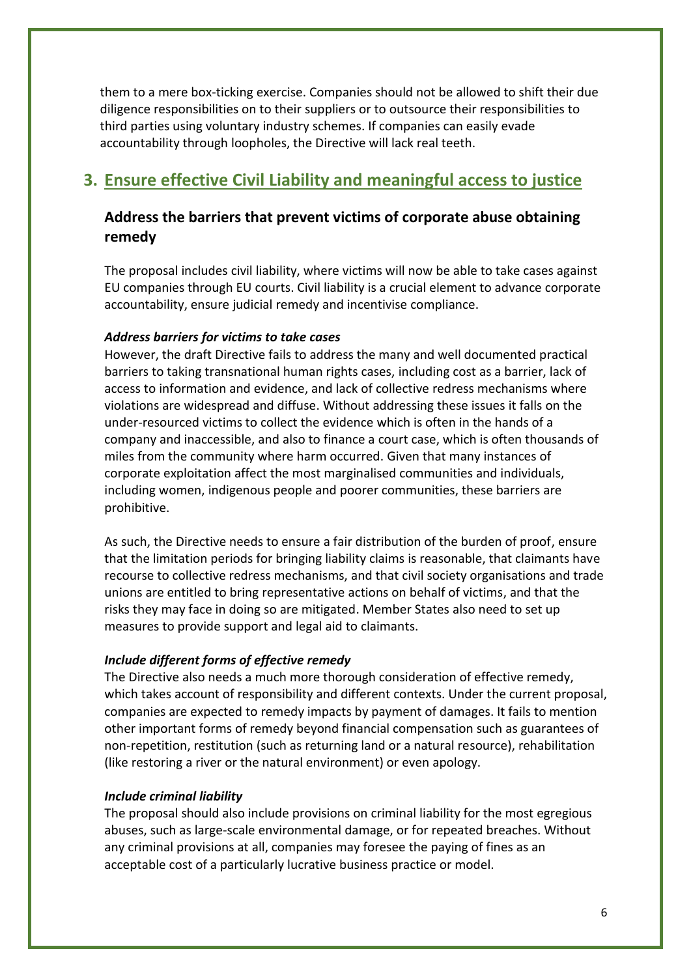them to a mere box-ticking exercise. Companies should not be allowed to shift their due diligence responsibilities on to their suppliers or to outsource their responsibilities to third parties using voluntary industry schemes. If companies can easily evade accountability through loopholes, the Directive will lack real teeth.

## **3. Ensure effective Civil Liability and meaningful access to justice**

## **Address the barriers that prevent victims of corporate abuse obtaining remedy**

The proposal includes civil liability, where victims will now be able to take cases against EU companies through EU courts. Civil liability is a crucial element to advance corporate accountability, ensure judicial remedy and incentivise compliance.

#### *Address barriers for victims to take cases*

However, the draft Directive fails to address the many and well documented practical barriers to taking transnational human rights cases, including cost as a barrier, lack of access to information and evidence, and lack of collective redress mechanisms where violations are widespread and diffuse. Without addressing these issues it falls on the under-resourced victims to collect the evidence which is often in the hands of a company and inaccessible, and also to finance a court case, which is often thousands of miles from the community where harm occurred. Given that many instances of corporate exploitation affect the most marginalised communities and individuals, including women, indigenous people and poorer communities, these barriers are prohibitive.

As such, the Directive needs to ensure a fair distribution of the burden of proof, ensure that the limitation periods for bringing liability claims is reasonable, that claimants have recourse to collective redress mechanisms, and that civil society organisations and trade unions are entitled to bring representative actions on behalf of victims, and that the risks they may face in doing so are mitigated. Member States also need to set up measures to provide support and legal aid to claimants.

#### *Include different forms of effective remedy*

The Directive also needs a much more thorough consideration of effective remedy, which takes account of responsibility and different contexts. Under the current proposal, companies are expected to remedy impacts by payment of damages. It fails to mention other important forms of remedy beyond financial compensation such as guarantees of non-repetition, restitution (such as returning land or a natural resource), rehabilitation (like restoring a river or the natural environment) or even apology.

#### *Include criminal liability*

The proposal should also include provisions on criminal liability for the most egregious abuses, such as large-scale environmental damage, or for repeated breaches. Without any criminal provisions at all, companies may foresee the paying of fines as an acceptable cost of a particularly lucrative business practice or model.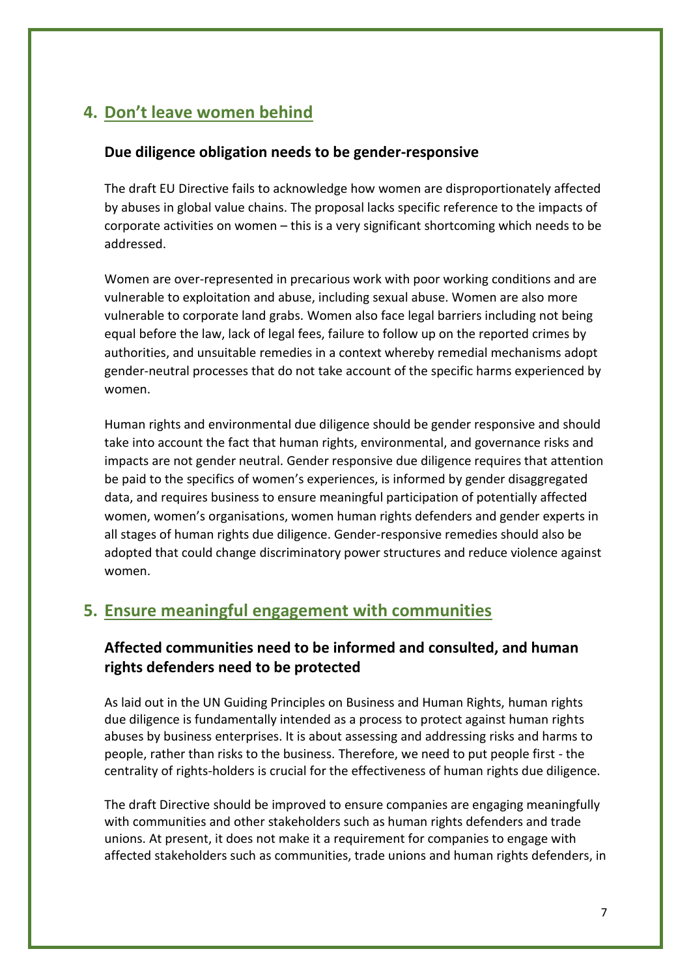# **4. Don't leave women behind**

#### **Due diligence obligation needs to be gender-responsive**

The draft EU Directive fails to acknowledge how women are disproportionately affected by abuses in global value chains. The proposal lacks specific reference to the impacts of corporate activities on women – this is a very significant shortcoming which needs to be addressed.

Women are over-represented in precarious work with poor working conditions and are vulnerable to exploitation and abuse, including sexual abuse. Women are also more vulnerable to corporate land grabs. Women also face legal barriers including not being equal before the law, lack of legal fees, failure to follow up on the reported crimes by authorities, and unsuitable remedies in a context whereby remedial mechanisms adopt gender-neutral processes that do not take account of the specific harms experienced by women.

Human rights and environmental due diligence should be gender responsive and should take into account the fact that human rights, environmental, and governance risks and impacts are not gender neutral. Gender responsive due diligence requires that attention be paid to the specifics of women's experiences, is informed by gender disaggregated data, and requires business to ensure meaningful participation of potentially affected women, women's organisations, women human rights defenders and gender experts in all stages of human rights due diligence. Gender-responsive remedies should also be adopted that could change discriminatory power structures and reduce violence against women.

## **5. Ensure meaningful engagement with communities**

## **Affected communities need to be informed and consulted, and human rights defenders need to be protected**

As laid out in the UN Guiding Principles on Business and Human Rights, human rights due diligence is fundamentally intended as a process to protect against human rights abuses by business enterprises. It is about assessing and addressing risks and harms to people, rather than risks to the business. Therefore, we need to put people first - the centrality of rights-holders is crucial for the effectiveness of human rights due diligence.

The draft Directive should be improved to ensure companies are engaging meaningfully with communities and other stakeholders such as human rights defenders and trade unions. At present, it does not make it a requirement for companies to engage with affected stakeholders such as communities, trade unions and human rights defenders, in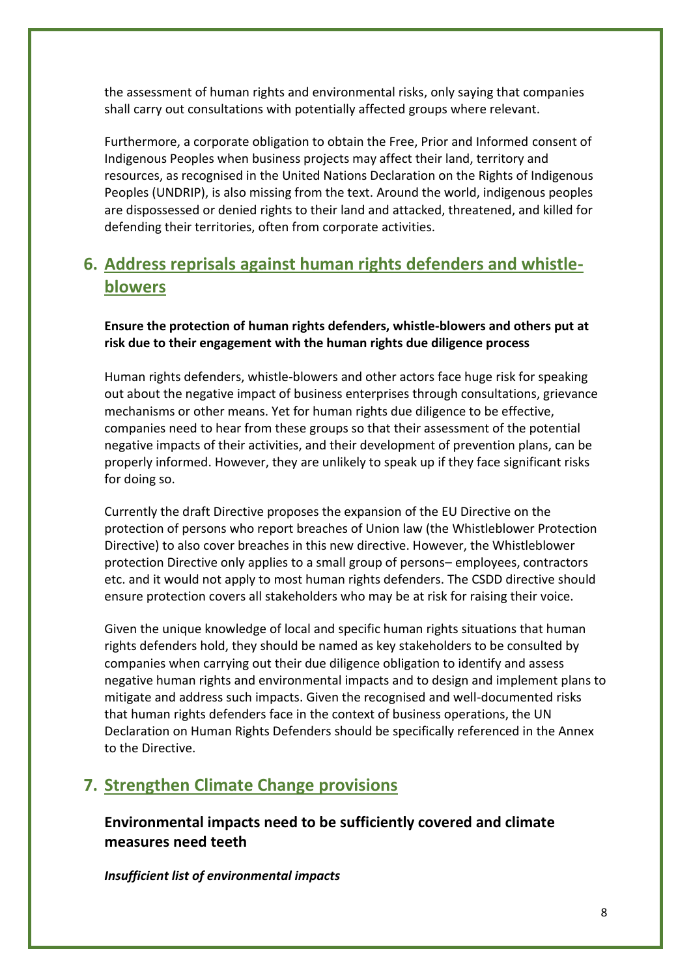the assessment of human rights and environmental risks, only saying that companies shall carry out consultations with potentially affected groups where relevant.

Furthermore, a corporate obligation to obtain the Free, Prior and Informed consent of Indigenous Peoples when business projects may affect their land, territory and resources, as recognised in the United Nations Declaration on the Rights of Indigenous Peoples (UNDRIP), is also missing from the text. Around the world, indigenous peoples are dispossessed or denied rights to their land and attacked, threatened, and killed for defending their territories, often from corporate activities.

# **6. Address reprisals against human rights defenders and whistleblowers**

**Ensure the protection of human rights defenders, whistle-blowers and others put at risk due to their engagement with the human rights due diligence process**

Human rights defenders, whistle-blowers and other actors face huge risk for speaking out about the negative impact of business enterprises through consultations, grievance mechanisms or other means. Yet for human rights due diligence to be effective, companies need to hear from these groups so that their assessment of the potential negative impacts of their activities, and their development of prevention plans, can be properly informed. However, they are unlikely to speak up if they face significant risks for doing so.

Currently the draft Directive proposes the expansion of the EU Directive on the protection of persons who report breaches of Union law (the Whistleblower Protection Directive) to also cover breaches in this new directive. However, the Whistleblower protection Directive only applies to a small group of persons– employees, contractors etc. and it would not apply to most human rights defenders. The CSDD directive should ensure protection covers all stakeholders who may be at risk for raising their voice.

Given the unique knowledge of local and specific human rights situations that human rights defenders hold, they should be named as key stakeholders to be consulted by companies when carrying out their due diligence obligation to identify and assess negative human rights and environmental impacts and to design and implement plans to mitigate and address such impacts. Given the recognised and well-documented risks that human rights defenders face in the context of business operations, the UN Declaration on Human Rights Defenders should be specifically referenced in the Annex to the Directive.

## **7. Strengthen Climate Change provisions**

## **Environmental impacts need to be sufficiently covered and climate measures need teeth**

*Insufficient list of environmental impacts*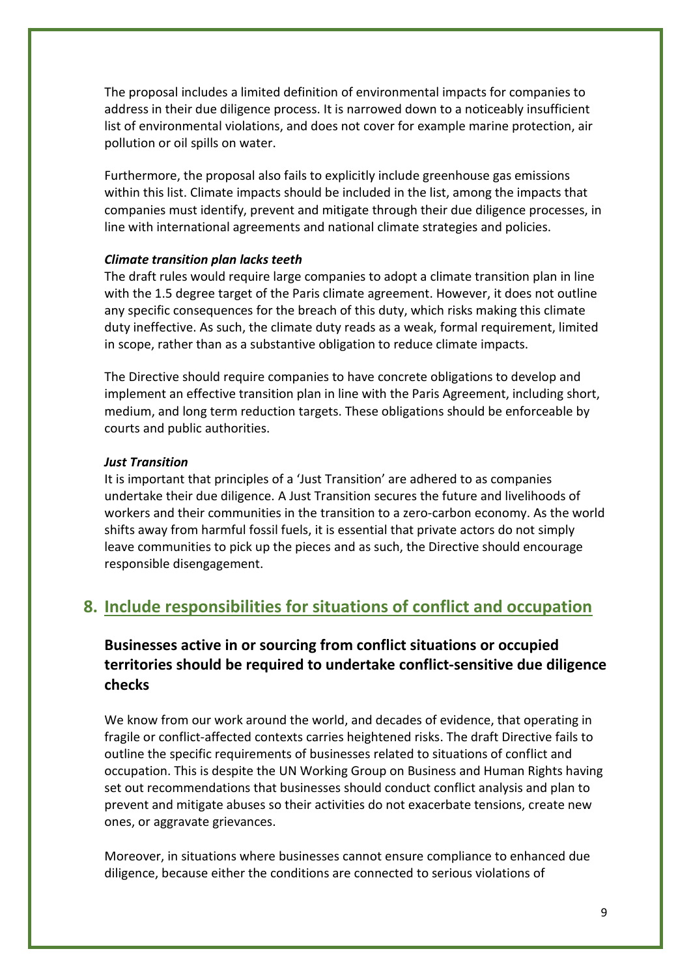The proposal includes a limited definition of environmental impacts for companies to address in their due diligence process. It is narrowed down to a noticeably insufficient list of environmental violations, and does not cover for example marine protection, air pollution or oil spills on water.

Furthermore, the proposal also fails to explicitly include greenhouse gas emissions within this list. Climate impacts should be included in the list, among the impacts that companies must identify, prevent and mitigate through their due diligence processes, in line with international agreements and national climate strategies and policies.

#### *Climate transition plan lacks teeth*

The draft rules would require large companies to adopt a climate transition plan in line with the 1.5 degree target of the Paris climate agreement. However, it does not outline any specific consequences for the breach of this duty, which risks making this climate duty ineffective. As such, the climate duty reads as a weak, formal requirement, limited in scope, rather than as a substantive obligation to reduce climate impacts.

The Directive should require companies to have concrete obligations to develop and implement an effective transition plan in line with the Paris Agreement, including short, medium, and long term reduction targets. These obligations should be enforceable by courts and public authorities.

#### *Just Transition*

It is important that principles of a 'Just Transition' are adhered to as companies undertake their due diligence. A Just Transition secures the future and livelihoods of workers and their communities in the transition to a zero-carbon economy. As the world shifts away from harmful fossil fuels, it is essential that private actors do not simply leave communities to pick up the pieces and as such, the Directive should encourage responsible disengagement.

## **8. Include responsibilities for situations of conflict and occupation**

## **Businesses active in or sourcing from conflict situations or occupied territories should be required to undertake conflict-sensitive due diligence checks**

We know from our work around the world, and decades of evidence, that operating in fragile or conflict-affected contexts carries heightened risks. The draft Directive fails to outline the specific requirements of businesses related to situations of conflict and occupation. This is despite the UN Working Group on Business and Human Rights having set out recommendations that businesses should conduct conflict analysis and plan to prevent and mitigate abuses so their activities do not exacerbate tensions, create new ones, or aggravate grievances.

Moreover, in situations where businesses cannot ensure compliance to enhanced due diligence, because either the conditions are connected to serious violations of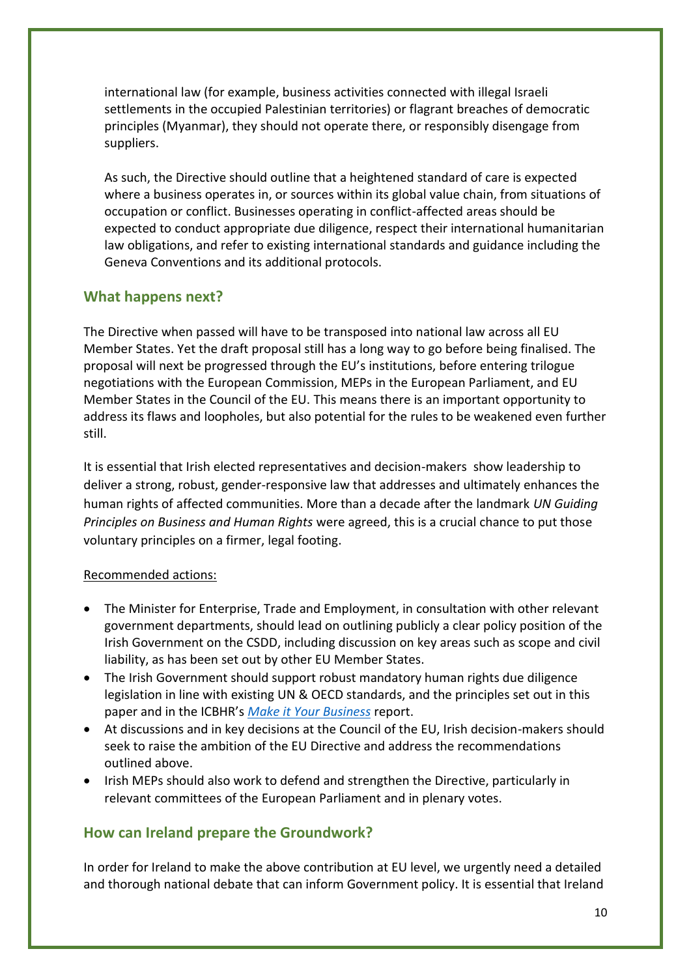international law (for example, business activities connected with illegal Israeli settlements in the occupied Palestinian territories) or flagrant breaches of democratic principles (Myanmar), they should not operate there, or responsibly disengage from suppliers.

As such, the Directive should outline that a heightened standard of care is expected where a business operates in, or sources within its global value chain, from situations of occupation or conflict. Businesses operating in conflict-affected areas should be expected to conduct appropriate due diligence, respect their international humanitarian law obligations, and refer to existing international standards and guidance including the Geneva Conventions and its additional protocols.

#### **What happens next?**

The Directive when passed will have to be transposed into national law across all EU Member States. Yet the draft proposal still has a long way to go before being finalised. The proposal will next be progressed through the EU's institutions, before entering trilogue negotiations with the European Commission, MEPs in the European Parliament, and EU Member States in the Council of the EU. This means there is an important opportunity to address its flaws and loopholes, but also potential for the rules to be weakened even further still.

It is essential that Irish elected representatives and decision-makers show leadership to deliver a strong, robust, gender-responsive law that addresses and ultimately enhances the human rights of affected communities. More than a decade after the landmark *UN Guiding Principles on Business and Human Rights* were agreed, this is a crucial chance to put those voluntary principles on a firmer, legal footing.

#### Recommended actions:

- The Minister for Enterprise, Trade and Employment, in consultation with other relevant government departments, should lead on outlining publicly a clear policy position of the Irish Government on the CSDD, including discussion on key areas such as scope and civil liability, as has been set out by other EU Member States.
- The Irish Government should support robust mandatory human rights due diligence legislation in line with existing UN & OECD standards, and the principles set out in this paper and in the ICBHR's *[Make it Your Business](https://icbhr.org/assets/reports/Make_it_your_Business_ICBHR_FINAL.pdf)* report.
- At discussions and in key decisions at the Council of the EU, Irish decision-makers should seek to raise the ambition of the EU Directive and address the recommendations outlined above.
- Irish MEPs should also work to defend and strengthen the Directive, particularly in relevant committees of the European Parliament and in plenary votes.

#### **How can Ireland prepare the Groundwork?**

In order for Ireland to make the above contribution at EU level, we urgently need a detailed and thorough national debate that can inform Government policy. It is essential that Ireland